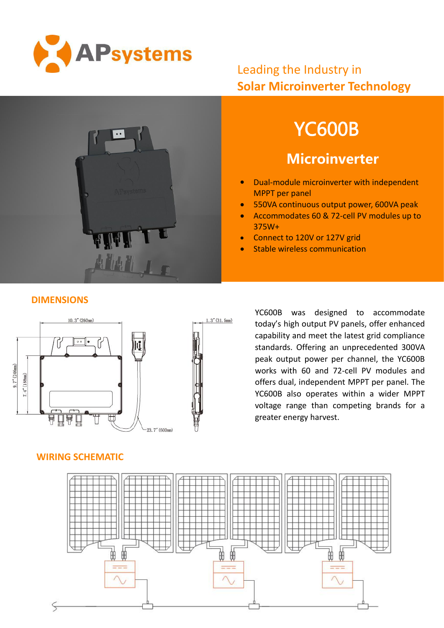

## Leading the Industry in **Solar Microinverter Technology**



# YC600B

# **Microinverter**

- Dual-module microinverter with independent MPPT per panel
- **550VA continuous output power, 600VA peak**
- Accommodates 60 & 72-cell PV modules up to 375W+
- **Connect to 120V or 127V grid**
- Stable wireless communication

#### **DIMENSIONS**



YC600B was designed to accommodate today's high output PV panels, offer enhanced capability and meet the latest grid compliance standards. Offering an unprecedented 300VA peak output power per channel, the YC600B works with 60 and 72-cell PV modules and offers dual, independent MPPT per panel. The YC600B also operates within a wider MPPT voltage range than competing brands for a greater energy harvest.

#### **WIRING SCHEMATIC**